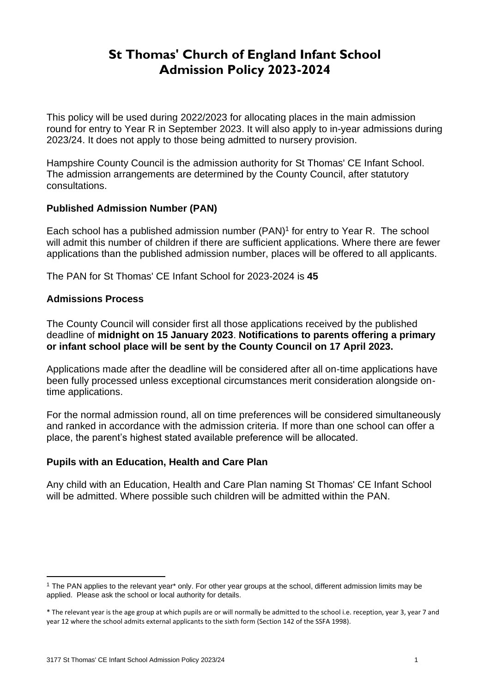# **St Thomas' Church of England Infant School Admission Policy 2023-2024**

This policy will be used during 2022/2023 for allocating places in the main admission round for entry to Year R in September 2023. It will also apply to in-year admissions during 2023/24. It does not apply to those being admitted to nursery provision.

Hampshire County Council is the admission authority for St Thomas' CE Infant School. The admission arrangements are determined by the County Council, after statutory consultations.

### **Published Admission Number (PAN)**

Each school has a published admission number (PAN) 1 for entry to Year R. The school will admit this number of children if there are sufficient applications. Where there are fewer applications than the published admission number, places will be offered to all applicants.

The PAN for St Thomas' CE Infant School for 2023-2024 is **45**

### **Admissions Process**

The County Council will consider first all those applications received by the published deadline of **midnight on 15 January 2023**. **Notifications to parents offering a primary or infant school place will be sent by the County Council on 17 April 2023.**

Applications made after the deadline will be considered after all on-time applications have been fully processed unless exceptional circumstances merit consideration alongside ontime applications.

For the normal admission round, all on time preferences will be considered simultaneously and ranked in accordance with the admission criteria. If more than one school can offer a place, the parent's highest stated available preference will be allocated.

# **Pupils with an Education, Health and Care Plan**

Any child with an Education, Health and Care Plan naming St Thomas' CE Infant School will be admitted. Where possible such children will be admitted within the PAN.

<sup>&</sup>lt;sup>1</sup> The PAN applies to the relevant year<sup>\*</sup> only. For other year groups at the school, different admission limits may be applied. Please ask the school or local authority for details.

<sup>\*</sup> The relevant year is the age group at which pupils are or will normally be admitted to the school i.e. reception, year 3, year 7 and year 12 where the school admits external applicants to the sixth form (Section 142 of the SSFA 1998).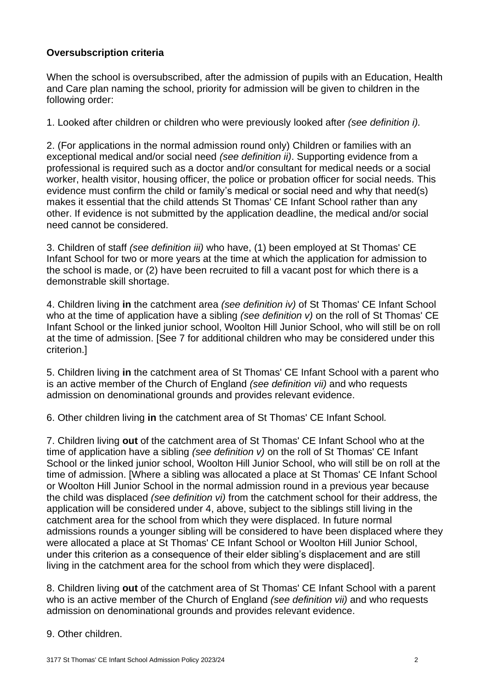# **Oversubscription criteria**

When the school is oversubscribed, after the admission of pupils with an Education, Health and Care plan naming the school, priority for admission will be given to children in the following order:

1. Looked after children or children who were previously looked after *(see definition i).* 

2. (For applications in the normal admission round only) Children or families with an exceptional medical and/or social need *(see definition ii)*. Supporting evidence from a professional is required such as a doctor and/or consultant for medical needs or a social worker, health visitor, housing officer, the police or probation officer for social needs. This evidence must confirm the child or family's medical or social need and why that need(s) makes it essential that the child attends St Thomas' CE Infant School rather than any other. If evidence is not submitted by the application deadline, the medical and/or social need cannot be considered.

3. Children of staff *(see definition iii)* who have, (1) been employed at St Thomas' CE Infant School for two or more years at the time at which the application for admission to the school is made, or (2) have been recruited to fill a vacant post for which there is a demonstrable skill shortage.

4. Children living **in** the catchment area *(see definition iv)* of St Thomas' CE Infant School who at the time of application have a sibling *(see definition v)* on the roll of St Thomas' CE Infant School or the linked junior school, Woolton Hill Junior School, who will still be on roll at the time of admission. [See 7 for additional children who may be considered under this criterion.]

5. Children living **in** the catchment area of St Thomas' CE Infant School with a parent who is an active member of the Church of England *(see definition vii)* and who requests admission on denominational grounds and provides relevant evidence.

6. Other children living **in** the catchment area of St Thomas' CE Infant School*.*

7. Children living **out** of the catchment area of St Thomas' CE Infant School who at the time of application have a sibling *(see definition v)* on the roll of St Thomas' CE Infant School or the linked junior school, Woolton Hill Junior School, who will still be on roll at the time of admission. [Where a sibling was allocated a place at St Thomas' CE Infant School or Woolton Hill Junior School in the normal admission round in a previous year because the child was displaced *(see definition vi)* from the catchment school for their address, the application will be considered under 4, above, subject to the siblings still living in the catchment area for the school from which they were displaced. In future normal admissions rounds a younger sibling will be considered to have been displaced where they were allocated a place at St Thomas' CE Infant School or Woolton Hill Junior School, under this criterion as a consequence of their elder sibling's displacement and are still living in the catchment area for the school from which they were displaced].

8. Children living **out** of the catchment area of St Thomas' CE Infant School with a parent who is an active member of the Church of England *(see definition vii)* and who requests admission on denominational grounds and provides relevant evidence.

#### 9. Other children.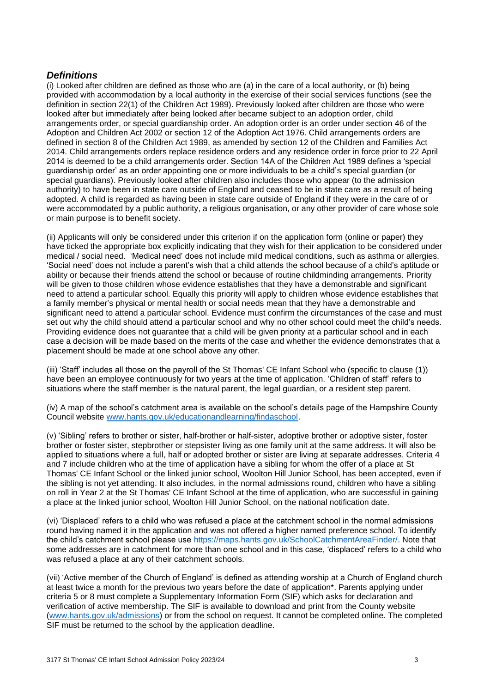#### *Definitions*

(i) Looked after children are defined as those who are (a) in the care of a local authority, or (b) being provided with accommodation by a local authority in the exercise of their social services functions (see the definition in section 22(1) of the Children Act 1989). Previously looked after children are those who were looked after but immediately after being looked after became subject to an adoption order, child arrangements order, or special guardianship order. An adoption order is an order under section 46 of the Adoption and Children Act 2002 or section 12 of the Adoption Act 1976. Child arrangements orders are defined in section 8 of the Children Act 1989, as amended by section 12 of the Children and Families Act 2014. Child arrangements orders replace residence orders and any residence order in force prior to 22 April 2014 is deemed to be a child arrangements order. Section 14A of the Children Act 1989 defines a 'special guardianship order' as an order appointing one or more individuals to be a child's special guardian (or special guardians). Previously looked after children also includes those who appear (to the admission authority) to have been in state care outside of England and ceased to be in state care as a result of being adopted. A child is regarded as having been in state care outside of England if they were in the care of or were accommodated by a public authority, a religious organisation, or any other provider of care whose sole or main purpose is to benefit society.

(ii) Applicants will only be considered under this criterion if on the application form (online or paper) they have ticked the appropriate box explicitly indicating that they wish for their application to be considered under medical / social need. 'Medical need' does not include mild medical conditions, such as asthma or allergies. 'Social need' does not include a parent's wish that a child attends the school because of a child's aptitude or ability or because their friends attend the school or because of routine childminding arrangements. Priority will be given to those children whose evidence establishes that they have a demonstrable and significant need to attend a particular school. Equally this priority will apply to children whose evidence establishes that a family member's physical or mental health or social needs mean that they have a demonstrable and significant need to attend a particular school. Evidence must confirm the circumstances of the case and must set out why the child should attend a particular school and why no other school could meet the child's needs. Providing evidence does not guarantee that a child will be given priority at a particular school and in each case a decision will be made based on the merits of the case and whether the evidence demonstrates that a placement should be made at one school above any other.

(iii) 'Staff' includes all those on the payroll of the St Thomas' CE Infant School who (specific to clause (1)) have been an employee continuously for two years at the time of application. 'Children of staff' refers to situations where the staff member is the natural parent, the legal guardian, or a resident step parent.

(iv) A map of the school's catchment area is available on the school's details page of the Hampshire County Council website [www.hants.gov.uk/educationandlearning/findaschool.](http://www.hants.gov.uk/educationandlearning/findaschool)

(v) 'Sibling' refers to brother or sister, half-brother or half-sister, adoptive brother or adoptive sister, foster brother or foster sister, stepbrother or stepsister living as one family unit at the same address. It will also be applied to situations where a full, half or adopted brother or sister are living at separate addresses. Criteria 4 and 7 include children who at the time of application have a sibling for whom the offer of a place at St Thomas' CE Infant School or the linked junior school, Woolton Hill Junior School, has been accepted, even if the sibling is not yet attending. It also includes, in the normal admissions round, children who have a sibling on roll in Year 2 at the St Thomas' CE Infant School at the time of application, who are successful in gaining a place at the linked junior school, Woolton Hill Junior School, on the national notification date.

(vi) 'Displaced' refers to a child who was refused a place at the catchment school in the normal admissions round having named it in the application and was not offered a higher named preference school. To identify the child's catchment school please use [https://maps.hants.gov.uk/SchoolCatchmentAreaFinder/.](https://maps.hants.gov.uk/SchoolCatchmentAreaFinder/) Note that some addresses are in catchment for more than one school and in this case, 'displaced' refers to a child who was refused a place at any of their catchment schools.

(vii) 'Active member of the Church of England' is defined as attending worship at a Church of England church at least twice a month for the previous two years before the date of application\*. Parents applying under criteria 5 or 8 must complete a Supplementary Information Form (SIF) which asks for declaration and verification of active membership. The SIF is available to download and print from the County website [\(www.hants.gov.uk/admissions\)](http://www.hants.gov.uk/admissions) or from the school on request. It cannot be completed online. The completed SIF must be returned to the school by the application deadline.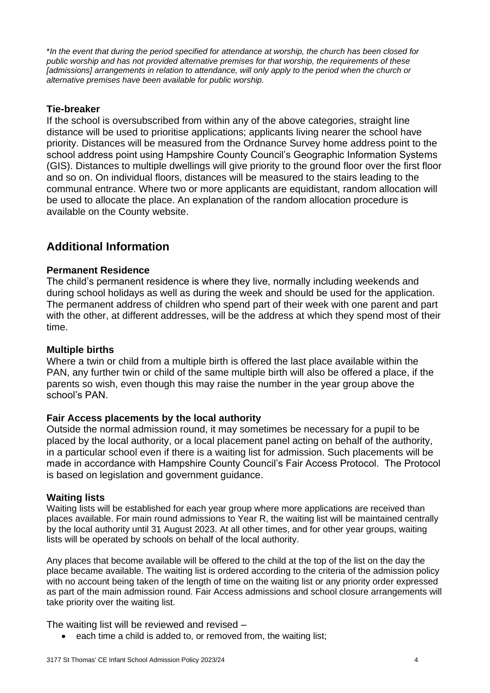\**In the event that during the period specified for attendance at worship, the church has been closed for public worship and has not provided alternative premises for that worship, the requirements of these [admissions] arrangements in relation to attendance, will only apply to the period when the church or alternative premises have been available for public worship.*

#### **Tie-breaker**

If the school is oversubscribed from within any of the above categories, straight line distance will be used to prioritise applications; applicants living nearer the school have priority. Distances will be measured from the Ordnance Survey home address point to the school address point using Hampshire County Council's Geographic Information Systems (GIS). Distances to multiple dwellings will give priority to the ground floor over the first floor and so on. On individual floors, distances will be measured to the stairs leading to the communal entrance. Where two or more applicants are equidistant, random allocation will be used to allocate the place. An explanation of the random allocation procedure is available on the County website.

# **Additional Information**

#### **Permanent Residence**

The child's permanent residence is where they live, normally including weekends and during school holidays as well as during the week and should be used for the application. The permanent address of children who spend part of their week with one parent and part with the other, at different addresses, will be the address at which they spend most of their time.

#### **Multiple births**

Where a twin or child from a multiple birth is offered the last place available within the PAN, any further twin or child of the same multiple birth will also be offered a place, if the parents so wish, even though this may raise the number in the year group above the school's PAN.

#### **Fair Access placements by the local authority**

Outside the normal admission round, it may sometimes be necessary for a pupil to be placed by the local authority, or a local placement panel acting on behalf of the authority, in a particular school even if there is a waiting list for admission. Such placements will be made in accordance with Hampshire County Council's Fair Access Protocol. The Protocol is based on legislation and government guidance.

#### **Waiting lists**

Waiting lists will be established for each year group where more applications are received than places available. For main round admissions to Year R, the waiting list will be maintained centrally by the local authority until 31 August 2023. At all other times, and for other year groups, waiting lists will be operated by schools on behalf of the local authority.

Any places that become available will be offered to the child at the top of the list on the day the place became available. The waiting list is ordered according to the criteria of the admission policy with no account being taken of the length of time on the waiting list or any priority order expressed as part of the main admission round. Fair Access admissions and school closure arrangements will take priority over the waiting list.

The waiting list will be reviewed and revised –

each time a child is added to, or removed from, the waiting list;